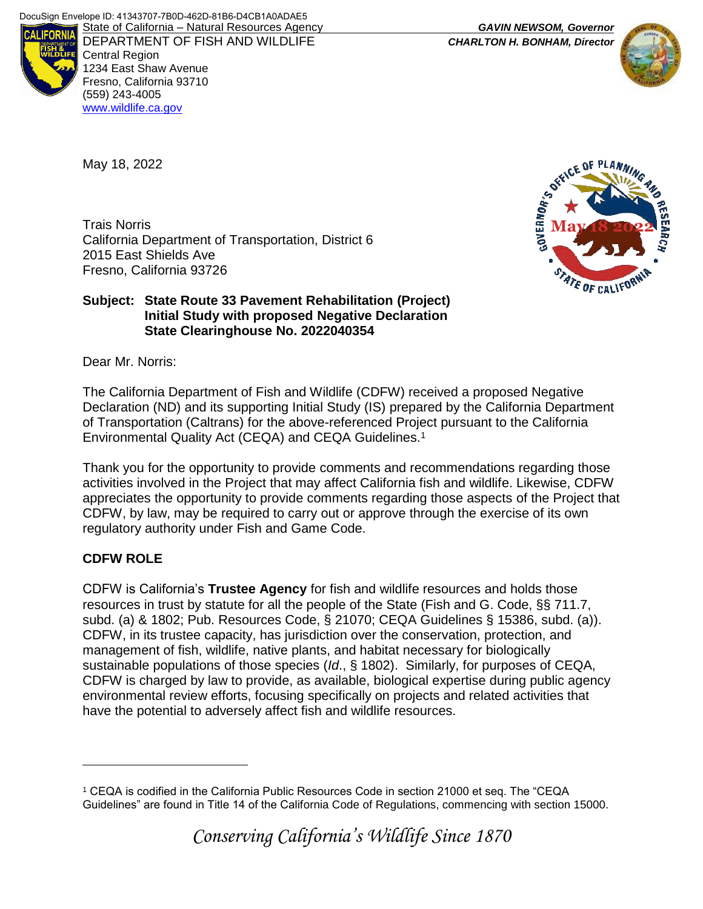

DEPARTMENT OF FISH AND WILDLIFE *CHARLTON H. BONHAM, Director*  Central Region 1234 East Shaw Avenue Fresno, California 93710 (559) 243-4005 [www.wildlife.ca.gov](http://www.cdfw.ca.gov/)



May 18, 2022

Trais Norris California Department of Transportation, District 6 2015 East Shields Ave Fresno, California 93726



#### **Subject: State Route 33 Pavement Rehabilitation (Project) Initial Study with proposed Negative Declaration State Clearinghouse No. 2022040354**

Dear Mr. Norris:

The California Department of Fish and Wildlife (CDFW) received a proposed Negative Declaration (ND) and its supporting Initial Study (IS) prepared by the California Department of Transportation (Caltrans) for the above-referenced Project pursuant to the California Environmental Quality Act (CEQA) and CEQA Guidelines.<sup>1</sup>

Thank you for the opportunity to provide comments and recommendations regarding those activities involved in the Project that may affect California fish and wildlife. Likewise, CDFW appreciates the opportunity to provide comments regarding those aspects of the Project that CDFW, by law, may be required to carry out or approve through the exercise of its own regulatory authority under Fish and Game Code.

# **CDFW ROLE**

 $\overline{a}$ 

CDFW is California's **Trustee Agency** for fish and wildlife resources and holds those resources in trust by statute for all the people of the State (Fish and G. Code, §§ 711.7, subd. (a) & 1802; Pub. Resources Code, § 21070; CEQA Guidelines § 15386, subd. (a)). CDFW, in its trustee capacity, has jurisdiction over the conservation, protection, and management of fish, wildlife, native plants, and habitat necessary for biologically sustainable populations of those species (*Id*., § 1802). Similarly, for purposes of CEQA, CDFW is charged by law to provide, as available, biological expertise during public agency environmental review efforts, focusing specifically on projects and related activities that have the potential to adversely affect fish and wildlife resources.

<sup>1</sup> CEQA is codified in the California Public Resources Code in section 21000 et seq. The "CEQA Guidelines" are found in Title 14 of the California Code of Regulations, commencing with section 15000.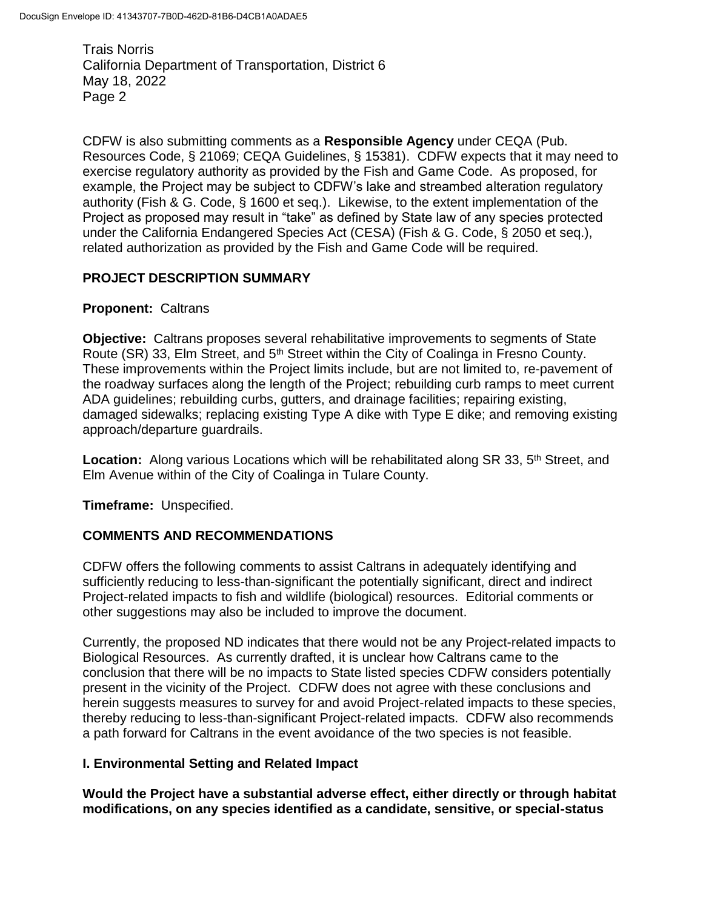CDFW is also submitting comments as a **Responsible Agency** under CEQA (Pub. Resources Code, § 21069; CEQA Guidelines, § 15381). CDFW expects that it may need to exercise regulatory authority as provided by the Fish and Game Code. As proposed, for example, the Project may be subject to CDFW's lake and streambed alteration regulatory authority (Fish & G. Code, § 1600 et seq.). Likewise, to the extent implementation of the Project as proposed may result in "take" as defined by State law of any species protected under the California Endangered Species Act (CESA) (Fish & G. Code, § 2050 et seq.), related authorization as provided by the Fish and Game Code will be required.

#### **PROJECT DESCRIPTION SUMMARY**

#### **Proponent:** Caltrans

**Objective:** Caltrans proposes several rehabilitative improvements to segments of State Route (SR) 33, Elm Street, and 5<sup>th</sup> Street within the City of Coalinga in Fresno County. These improvements within the Project limits include, but are not limited to, re-pavement of the roadway surfaces along the length of the Project; rebuilding curb ramps to meet current ADA guidelines; rebuilding curbs, gutters, and drainage facilities; repairing existing, damaged sidewalks; replacing existing Type A dike with Type E dike; and removing existing approach/departure guardrails.

**Location:** Along various Locations which will be rehabilitated along SR 33, 5<sup>th</sup> Street, and Elm Avenue within of the City of Coalinga in Tulare County.

**Timeframe:** Unspecified.

#### **COMMENTS AND RECOMMENDATIONS**

CDFW offers the following comments to assist Caltrans in adequately identifying and sufficiently reducing to less-than-significant the potentially significant, direct and indirect Project-related impacts to fish and wildlife (biological) resources. Editorial comments or other suggestions may also be included to improve the document.

Currently, the proposed ND indicates that there would not be any Project-related impacts to Biological Resources. As currently drafted, it is unclear how Caltrans came to the conclusion that there will be no impacts to State listed species CDFW considers potentially present in the vicinity of the Project. CDFW does not agree with these conclusions and herein suggests measures to survey for and avoid Project-related impacts to these species, thereby reducing to less-than-significant Project-related impacts. CDFW also recommends a path forward for Caltrans in the event avoidance of the two species is not feasible.

#### **I. Environmental Setting and Related Impact**

**Would the Project have a substantial adverse effect, either directly or through habitat modifications, on any species identified as a candidate, sensitive, or special-status**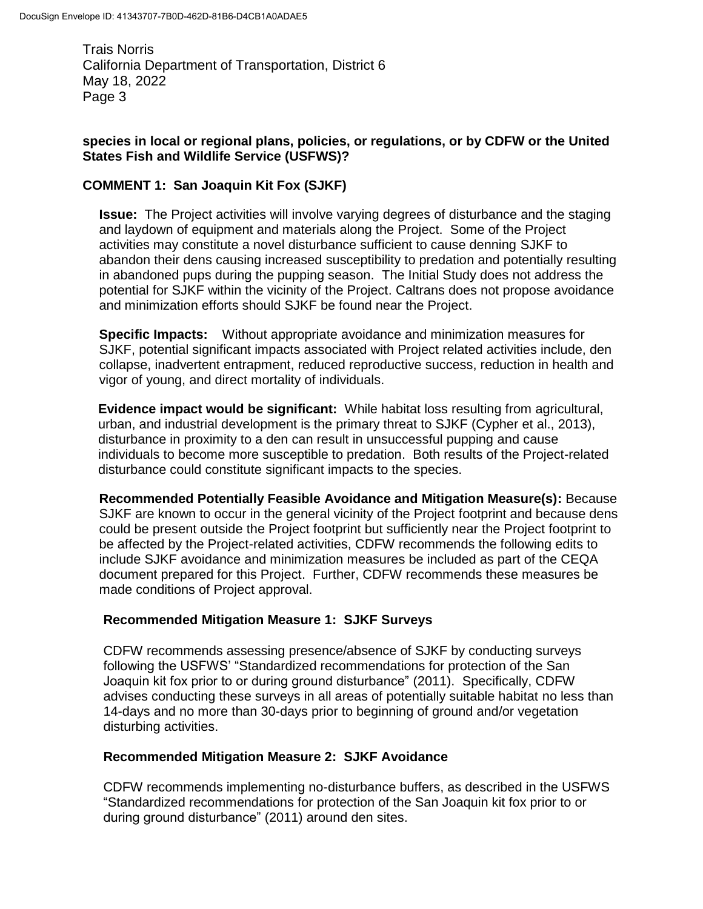#### **species in local or regional plans, policies, or regulations, or by CDFW or the United States Fish and Wildlife Service (USFWS)?**

## **COMMENT 1: San Joaquin Kit Fox (SJKF)**

**Issue:** The Project activities will involve varying degrees of disturbance and the staging and laydown of equipment and materials along the Project. Some of the Project activities may constitute a novel disturbance sufficient to cause denning SJKF to abandon their dens causing increased susceptibility to predation and potentially resulting in abandoned pups during the pupping season. The Initial Study does not address the potential for SJKF within the vicinity of the Project. Caltrans does not propose avoidance and minimization efforts should SJKF be found near the Project.

**Specific Impacts:** Without appropriate avoidance and minimization measures for SJKF, potential significant impacts associated with Project related activities include, den collapse, inadvertent entrapment, reduced reproductive success, reduction in health and vigor of young, and direct mortality of individuals.

**Evidence impact would be significant:** While habitat loss resulting from agricultural, urban, and industrial development is the primary threat to SJKF (Cypher et al., 2013), disturbance in proximity to a den can result in unsuccessful pupping and cause individuals to become more susceptible to predation. Both results of the Project-related disturbance could constitute significant impacts to the species.

**Recommended Potentially Feasible Avoidance and Mitigation Measure(s):** Because SJKF are known to occur in the general vicinity of the Project footprint and because dens could be present outside the Project footprint but sufficiently near the Project footprint to be affected by the Project-related activities, CDFW recommends the following edits to include SJKF avoidance and minimization measures be included as part of the CEQA document prepared for this Project. Further, CDFW recommends these measures be made conditions of Project approval.

#### **Recommended Mitigation Measure 1: SJKF Surveys**

CDFW recommends assessing presence/absence of SJKF by conducting surveys following the USFWS' "Standardized recommendations for protection of the San Joaquin kit fox prior to or during ground disturbance" (2011). Specifically, CDFW advises conducting these surveys in all areas of potentially suitable habitat no less than 14-days and no more than 30-days prior to beginning of ground and/or vegetation disturbing activities.

#### **Recommended Mitigation Measure 2: SJKF Avoidance**

CDFW recommends implementing no-disturbance buffers, as described in the USFWS "Standardized recommendations for protection of the San Joaquin kit fox prior to or during ground disturbance" (2011) around den sites.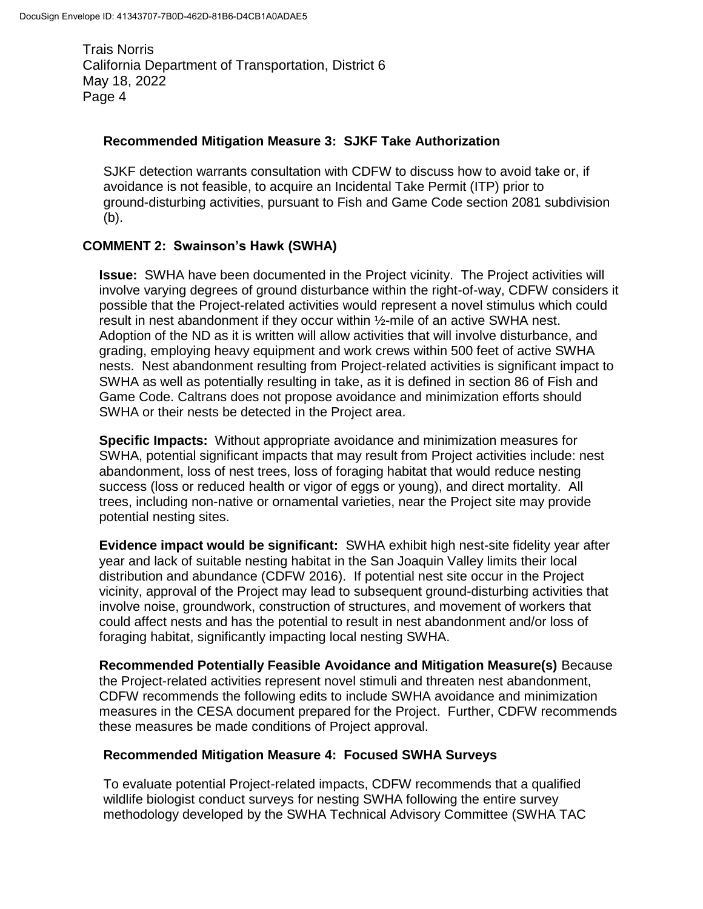#### **Recommended Mitigation Measure 3: SJKF Take Authorization**

SJKF detection warrants consultation with CDFW to discuss how to avoid take or, if avoidance is not feasible, to acquire an Incidental Take Permit (ITP) prior to ground-disturbing activities, pursuant to Fish and Game Code section 2081 subdivision (b).

## **COMMENT 2: Swainson's Hawk (SWHA)**

**Issue:** SWHA have been documented in the Project vicinity. The Project activities will involve varying degrees of ground disturbance within the right-of-way, CDFW considers it possible that the Project-related activities would represent a novel stimulus which could result in nest abandonment if they occur within ½-mile of an active SWHA nest. Adoption of the ND as it is written will allow activities that will involve disturbance, and grading, employing heavy equipment and work crews within 500 feet of active SWHA nests. Nest abandonment resulting from Project-related activities is significant impact to SWHA as well as potentially resulting in take, as it is defined in section 86 of Fish and Game Code. Caltrans does not propose avoidance and minimization efforts should SWHA or their nests be detected in the Project area.

**Specific Impacts:** Without appropriate avoidance and minimization measures for SWHA, potential significant impacts that may result from Project activities include: nest abandonment, loss of nest trees, loss of foraging habitat that would reduce nesting success (loss or reduced health or vigor of eggs or young), and direct mortality. All trees, including non-native or ornamental varieties, near the Project site may provide potential nesting sites.

**Evidence impact would be significant:** SWHA exhibit high nest-site fidelity year after year and lack of suitable nesting habitat in the San Joaquin Valley limits their local distribution and abundance (CDFW 2016). If potential nest site occur in the Project vicinity, approval of the Project may lead to subsequent ground-disturbing activities that involve noise, groundwork, construction of structures, and movement of workers that could affect nests and has the potential to result in nest abandonment and/or loss of foraging habitat, significantly impacting local nesting SWHA.

**Recommended Potentially Feasible Avoidance and Mitigation Measure(s)** Because the Project-related activities represent novel stimuli and threaten nest abandonment, CDFW recommends the following edits to include SWHA avoidance and minimization measures in the CESA document prepared for the Project. Further, CDFW recommends these measures be made conditions of Project approval.

## **Recommended Mitigation Measure 4: Focused SWHA Surveys**

To evaluate potential Project-related impacts, CDFW recommends that a qualified wildlife biologist conduct surveys for nesting SWHA following the entire survey methodology developed by the SWHA Technical Advisory Committee (SWHA TAC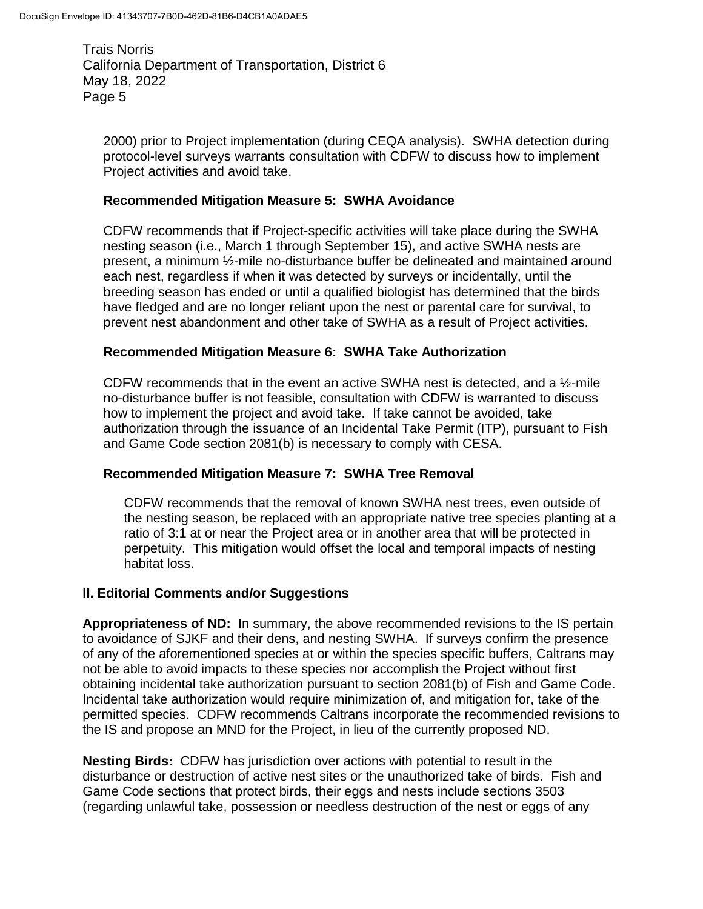2000) prior to Project implementation (during CEQA analysis). SWHA detection during protocol-level surveys warrants consultation with CDFW to discuss how to implement Project activities and avoid take.

#### **Recommended Mitigation Measure 5: SWHA Avoidance**

CDFW recommends that if Project-specific activities will take place during the SWHA nesting season (i.e., March 1 through September 15), and active SWHA nests are present, a minimum ½-mile no-disturbance buffer be delineated and maintained around each nest, regardless if when it was detected by surveys or incidentally, until the breeding season has ended or until a qualified biologist has determined that the birds have fledged and are no longer reliant upon the nest or parental care for survival, to prevent nest abandonment and other take of SWHA as a result of Project activities.

#### **Recommended Mitigation Measure 6: SWHA Take Authorization**

CDFW recommends that in the event an active SWHA nest is detected, and a  $\frac{1}{2}$ -mile no-disturbance buffer is not feasible, consultation with CDFW is warranted to discuss how to implement the project and avoid take. If take cannot be avoided, take authorization through the issuance of an Incidental Take Permit (ITP), pursuant to Fish and Game Code section 2081(b) is necessary to comply with CESA.

## **Recommended Mitigation Measure 7: SWHA Tree Removal**

CDFW recommends that the removal of known SWHA nest trees, even outside of the nesting season, be replaced with an appropriate native tree species planting at a ratio of 3:1 at or near the Project area or in another area that will be protected in perpetuity. This mitigation would offset the local and temporal impacts of nesting habitat loss.

#### **II. Editorial Comments and/or Suggestions**

**Appropriateness of ND:** In summary, the above recommended revisions to the IS pertain to avoidance of SJKF and their dens, and nesting SWHA. If surveys confirm the presence of any of the aforementioned species at or within the species specific buffers, Caltrans may not be able to avoid impacts to these species nor accomplish the Project without first obtaining incidental take authorization pursuant to section 2081(b) of Fish and Game Code. Incidental take authorization would require minimization of, and mitigation for, take of the permitted species. CDFW recommends Caltrans incorporate the recommended revisions to the IS and propose an MND for the Project, in lieu of the currently proposed ND.

**Nesting Birds:** CDFW has jurisdiction over actions with potential to result in the disturbance or destruction of active nest sites or the unauthorized take of birds. Fish and Game Code sections that protect birds, their eggs and nests include sections 3503 (regarding unlawful take, possession or needless destruction of the nest or eggs of any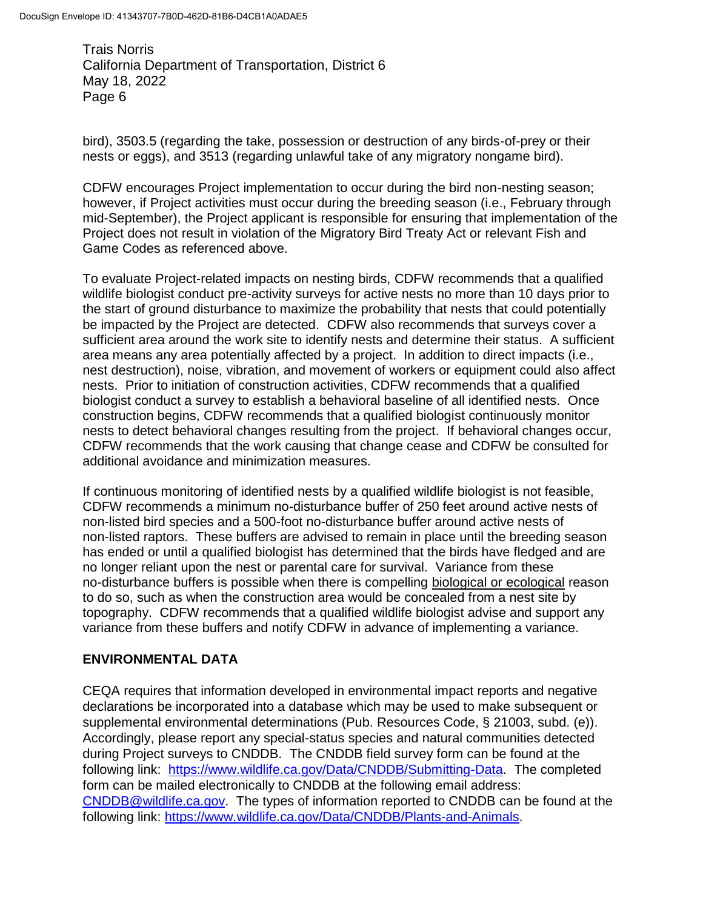bird), 3503.5 (regarding the take, possession or destruction of any birds-of-prey or their nests or eggs), and 3513 (regarding unlawful take of any migratory nongame bird).

CDFW encourages Project implementation to occur during the bird non-nesting season; however, if Project activities must occur during the breeding season (i.e., February through mid-September), the Project applicant is responsible for ensuring that implementation of the Project does not result in violation of the Migratory Bird Treaty Act or relevant Fish and Game Codes as referenced above.

To evaluate Project-related impacts on nesting birds, CDFW recommends that a qualified wildlife biologist conduct pre-activity surveys for active nests no more than 10 days prior to the start of ground disturbance to maximize the probability that nests that could potentially be impacted by the Project are detected. CDFW also recommends that surveys cover a sufficient area around the work site to identify nests and determine their status. A sufficient area means any area potentially affected by a project. In addition to direct impacts (i.e., nest destruction), noise, vibration, and movement of workers or equipment could also affect nests. Prior to initiation of construction activities, CDFW recommends that a qualified biologist conduct a survey to establish a behavioral baseline of all identified nests. Once construction begins, CDFW recommends that a qualified biologist continuously monitor nests to detect behavioral changes resulting from the project. If behavioral changes occur, CDFW recommends that the work causing that change cease and CDFW be consulted for additional avoidance and minimization measures.

If continuous monitoring of identified nests by a qualified wildlife biologist is not feasible, CDFW recommends a minimum no-disturbance buffer of 250 feet around active nests of non-listed bird species and a 500-foot no-disturbance buffer around active nests of non-listed raptors. These buffers are advised to remain in place until the breeding season has ended or until a qualified biologist has determined that the birds have fledged and are no longer reliant upon the nest or parental care for survival. Variance from these no-disturbance buffers is possible when there is compelling biological or ecological reason to do so, such as when the construction area would be concealed from a nest site by topography. CDFW recommends that a qualified wildlife biologist advise and support any variance from these buffers and notify CDFW in advance of implementing a variance.

## **ENVIRONMENTAL DATA**

CEQA requires that information developed in environmental impact reports and negative declarations be incorporated into a database which may be used to make subsequent or supplemental environmental determinations (Pub. Resources Code, § 21003, subd. (e)). Accordingly, please report any special-status species and natural communities detected during Project surveys to CNDDB. The CNDDB field survey form can be found at the following link: [https://www.wildlife.ca.gov/Data/CNDDB/Submitting-Data.](https://www.wildlife.ca.gov/Data/CNDDB/Submitting-Data) The completed form can be mailed electronically to CNDDB at the following email address: [CNDDB@wildlife.ca.gov.](mailto:CNDDB@wildlife.ca.gov) The types of information reported to CNDDB can be found at the following link: [https://www.wildlife.ca.gov/Data/CNDDB/Plants-and-Animals.](https://www.wildlife.ca.gov/Data/CNDDB/Plants-and-Animals)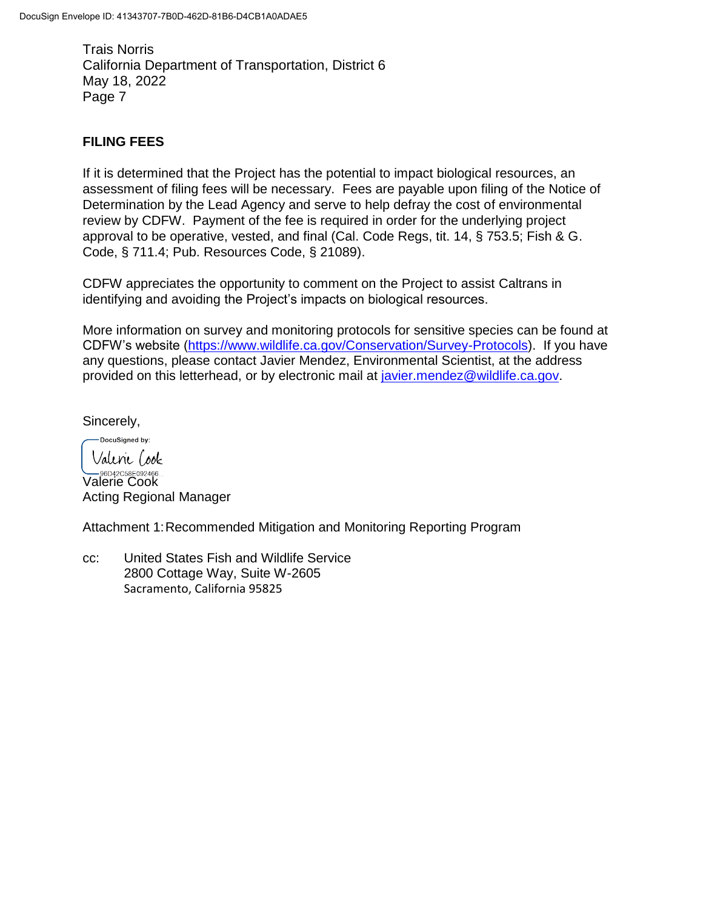## **FILING FEES**

If it is determined that the Project has the potential to impact biological resources, an assessment of filing fees will be necessary. Fees are payable upon filing of the Notice of Determination by the Lead Agency and serve to help defray the cost of environmental review by CDFW. Payment of the fee is required in order for the underlying project approval to be operative, vested, and final (Cal. Code Regs, tit. 14, § 753.5; Fish & G. Code, § 711.4; Pub. Resources Code, § 21089).

CDFW appreciates the opportunity to comment on the Project to assist Caltrans in identifying and avoiding the Project's impacts on biological resources.

More information on survey and monitoring protocols for sensitive species can be found at CDFW's website [\(https://www.wildlife.ca.gov/Conservation/Survey-Protocols\)](https://www.wildlife.ca.gov/Conservation/Survey-Protocols). If you have any questions, please contact Javier Mendez, Environmental Scientist, at the address provided on this letterhead, or by electronic mail at [javier.mendez@wildlife.ca.gov.](mailto:javier.mendez@wildlife.ca.gov)

Sincerely,

DocuSigned by: Valene (ook

**SEDA2C58E092466.**<br>Valerie Cook Acting Regional Manager

Attachment 1:Recommended Mitigation and Monitoring Reporting Program

cc: United States Fish and Wildlife Service 2800 Cottage Way, Suite W-2605 Sacramento, California 95825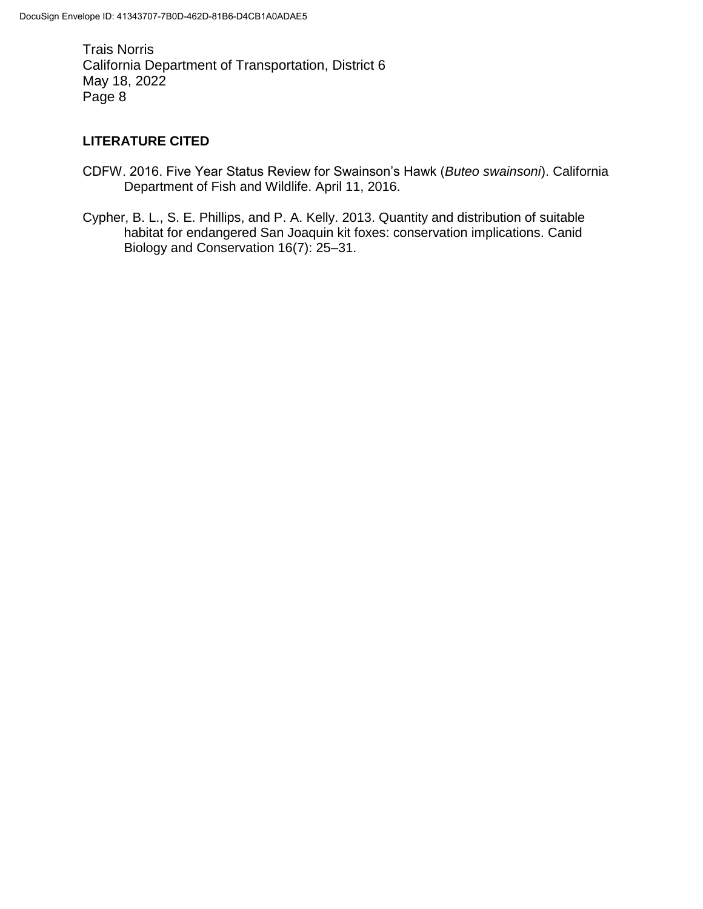## **LITERATURE CITED**

- CDFW. 2016. Five Year Status Review for Swainson's Hawk (*Buteo swainsoni*). California Department of Fish and Wildlife. April 11, 2016.
- Cypher, B. L., S. E. Phillips, and P. A. Kelly. 2013. Quantity and distribution of suitable habitat for endangered San Joaquin kit foxes: conservation implications. Canid Biology and Conservation 16(7): 25–31.